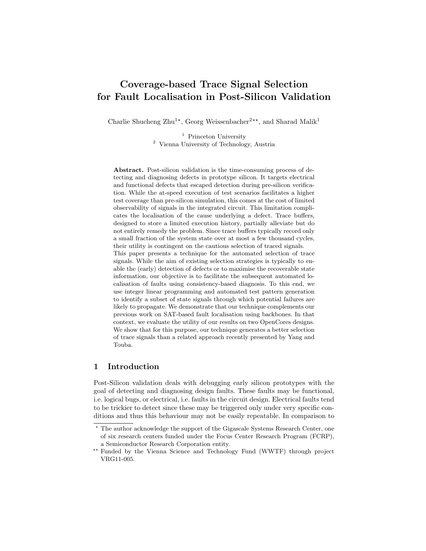# Coverage-based Trace Signal Selection for Fault Localisation in Post-Silicon Validation

Charlie Shucheng  $Zhu^{1*}$ , Georg Weissenbacher<sup>2\*\*</sup>, and Sharad Malik<sup>1</sup>

<sup>1</sup> Princeton University <sup>2</sup> Vienna University of Technology, Austria

Abstract. Post-silicon validation is the time-consuming process of detecting and diagnosing defects in prototype silicon. It targets electrical and functional defects that escaped detection during pre-silicon verification. While the at-speed execution of test scenarios facilitates a higher test coverage than pre-silicon simulation, this comes at the cost of limited observability of signals in the integrated circuit. This limitation complicates the localisation of the cause underlying a defect. Trace buffers, designed to store a limited execution history, partially alleviate but do not entirely remedy the problem. Since trace buffers typically record only a small fraction of the system state over at most a few thousand cycles, their utility is contingent on the cautious selection of traced signals. This paper presents a technique for the automated selection of trace signals. While the aim of existing selection strategies is typically to enable the (early) detection of defects or to maximise the recoverable state information, our objective is to facilitate the subsequent automated localisation of faults using consistency-based diagnosis. To this end, we use integer linear programming and automated test pattern generation to identify a subset of state signals through which potential failures are likely to propagate. We demonstrate that our technique complements our previous work on SAT-based fault localisation using backbones. In that context, we evaluate the utility of our results on two OpenCores designs. We show that for this purpose, our technique generates a better selection of trace signals than a related approach recently presented by Yang and Touba.

# 1 Introduction

Post-Silicon validation deals with debugging early silicon prototypes with the goal of detecting and diagnosing design faults. These faults may be functional, i.e. logical bugs, or electrical, i.e. faults in the circuit design. Electrical faults tend to be trickier to detect since these may be triggered only under very specific conditions and thus this behaviour may not be easily repeatable. In comparison to

<sup>?</sup> The author acknowledge the support of the Gigascale Systems Research Center, one of six research centers funded under the Focus Center Research Program (FCRP), a Semiconductor Research Corporation entity.

<sup>\*\*</sup> Funded by the Vienna Science and Technology Fund (WWTF) through project VRG11-005.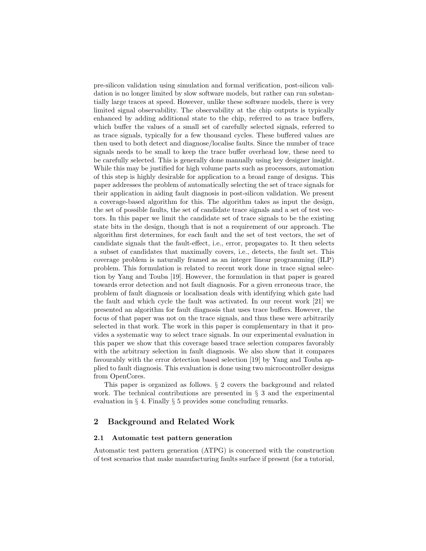pre-silicon validation using simulation and formal verification, post-silicon validation is no longer limited by slow software models, but rather can run substantially large traces at speed. However, unlike these software models, there is very limited signal observability. The observability at the chip outputs is typically enhanced by adding additional state to the chip, referred to as trace buffers, which buffer the values of a small set of carefully selected signals, referred to as trace signals, typically for a few thousand cycles. These buffered values are then used to both detect and diagnose/localise faults. Since the number of trace signals needs to be small to keep the trace buffer overhead low, these need to be carefully selected. This is generally done manually using key designer insight. While this may be justified for high volume parts such as processors, automation of this step is highly desirable for application to a broad range of designs. This paper addresses the problem of automatically selecting the set of trace signals for their application in aiding fault diagnosis in post-silicon validation. We present a coverage-based algorithm for this. The algorithm takes as input the design, the set of possible faults, the set of candidate trace signals and a set of test vectors. In this paper we limit the candidate set of trace signals to be the existing state bits in the design, though that is not a requirement of our approach. The algorithm first determines, for each fault and the set of test vectors, the set of candidate signals that the fault-effect, i.e., error, propagates to. It then selects a subset of candidates that maximally covers, i.e., detects, the fault set. This coverage problem is naturally framed as an integer linear programming (ILP) problem. This formulation is related to recent work done in trace signal selection by Yang and Touba [19]. However, the formulation in that paper is geared towards error detection and not fault diagnosis. For a given erroneous trace, the problem of fault diagnosis or localisation deals with identifying which gate had the fault and which cycle the fault was activated. In our recent work [21] we presented an algorithm for fault diagnosis that uses trace buffers. However, the focus of that paper was not on the trace signals, and thus these were arbitrarily selected in that work. The work in this paper is complementary in that it provides a systematic way to select trace signals. In our experimental evaluation in this paper we show that this coverage based trace selection compares favorably with the arbitrary selection in fault diagnosis. We also show that it compares favourably with the error detection based selection [19] by Yang and Touba applied to fault diagnosis. This evaluation is done using two microcontroller designs from OpenCores.

This paper is organized as follows. § 2 covers the background and related work. The technical contributions are presented in  $\S$  3 and the experimental evaluation in § 4. Finally § 5 provides some concluding remarks.

# 2 Background and Related Work

## 2.1 Automatic test pattern generation

Automatic test pattern generation (ATPG) is concerned with the construction of test scenarios that make manufacturing faults surface if present (for a tutorial,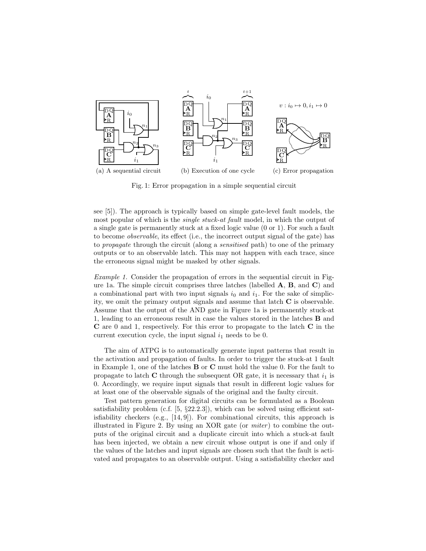

Fig. 1: Error propagation in a simple sequential circuit

see [5]). The approach is typically based on simple gate-level fault models, the most popular of which is the *single stuck-at fault* model, in which the output of a single gate is permanently stuck at a fixed logic value (0 or 1). For such a fault to become observable, its effect (i.e., the incorrect output signal of the gate) has to propagate through the circuit (along a sensitised path) to one of the primary outputs or to an observable latch. This may not happen with each trace, since the erroneous signal might be masked by other signals.

Example 1. Consider the propagation of errors in the sequential circuit in Figure 1a. The simple circuit comprises three latches (labelled  $A$ ,  $B$ , and  $C$ ) and a combinational part with two input signals  $i_0$  and  $i_1$ . For the sake of simplicity, we omit the primary output signals and assume that latch C is observable. Assume that the output of the AND gate in Figure 1a is permanently stuck-at 1, leading to an erroneous result in case the values stored in the latches B and C are 0 and 1, respectively. For this error to propagate to the latch C in the current execution cycle, the input signal  $i_1$  needs to be 0.

The aim of ATPG is to automatically generate input patterns that result in the activation and propagation of faults. In order to trigger the stuck-at 1 fault in Example 1, one of the latches B or C must hold the value 0. For the fault to propagate to latch C through the subsequent OR gate, it is necessary that  $i_1$  is 0. Accordingly, we require input signals that result in different logic values for at least one of the observable signals of the original and the faulty circuit.

Test pattern generation for digital circuits can be formulated as a Boolean satisfiability problem  $(c.f. [5, §22.2.3])$ , which can be solved using efficient satisfiability checkers (e.g., [14, 9]). For combinational circuits, this approach is illustrated in Figure 2. By using an XOR gate (or *miter*) to combine the outputs of the original circuit and a duplicate circuit into which a stuck-at fault has been injected, we obtain a new circuit whose output is one if and only if the values of the latches and input signals are chosen such that the fault is activated and propagates to an observable output. Using a satisfiability checker and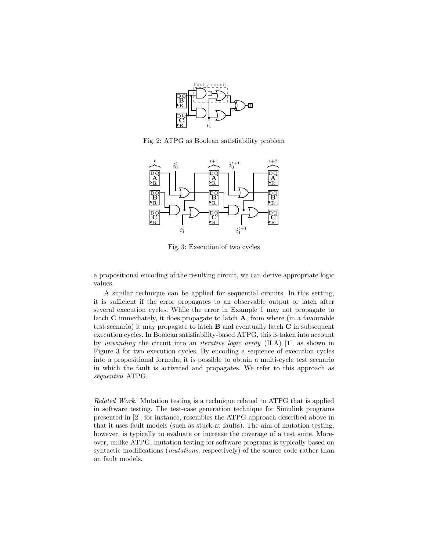

Fig. 2: ATPG as Boolean satisfiability problem



Fig. 3: Execution of two cycles

a propositional encoding of the resulting circuit, we can derive appropriate logic values.

A similar technique can be applied for sequential circuits. In this setting, it is sufficient if the error propagates to an observable output or latch after several execution cycles. While the error in Example 1 may not propagate to latch  $C$  immediately, it does propagate to latch  $A$ , from where (in a favourable test scenario) it may propagate to latch  $\bf{B}$  and eventually latch  $\bf{C}$  in subsequent execution cycles. In Boolean satisfiability-based ATPG, this is taken into account by unwinding the circuit into an *iterative logic array* (ILA) [1], as shown in Figure 3 for two execution cycles. By encoding a sequence of execution cycles into a propositional formula, it is possible to obtain a multi-cycle test scenario in which the fault is activated and propagates. We refer to this approach as sequential ATPG.

Related Work. Mutation testing is a technique related to ATPG that is applied in software testing. The test-case generation technique for Simulink programs presented in [2], for instance, resembles the ATPG approach described above in that it uses fault models (such as stuck-at faults). The aim of mutation testing, however, is typically to evaluate or increase the coverage of a test suite. Moreover, unlike ATPG, mutation testing for software programs is typically based on syntactic modifications (*mutations*, respectively) of the source code rather than on fault models.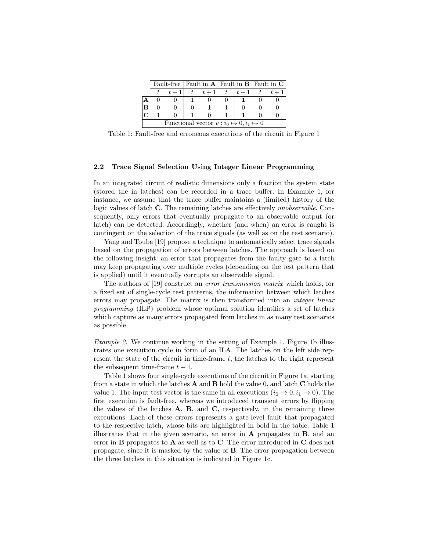|                                                      |  |  |  |  |  |       | Fault-free   Fault in $A$   Fault in $B$   Fault in $C$ |  |  |
|------------------------------------------------------|--|--|--|--|--|-------|---------------------------------------------------------|--|--|
|                                                      |  |  |  |  |  | $t+1$ |                                                         |  |  |
| А                                                    |  |  |  |  |  |       |                                                         |  |  |
| в                                                    |  |  |  |  |  |       |                                                         |  |  |
| $\mathbf C$                                          |  |  |  |  |  |       |                                                         |  |  |
| Functional vector $v : i_0 \mapsto 0, i_1 \mapsto 0$ |  |  |  |  |  |       |                                                         |  |  |

Table 1: Fault-free and erroneous executions of the circuit in Figure 1

#### 2.2 Trace Signal Selection Using Integer Linear Programming

In an integrated circuit of realistic dimensions only a fraction the system state (stored the in latches) can be recorded in a trace buffer. In Example 1, for instance, we assume that the trace buffer maintains a (limited) history of the logic values of latch C. The remaining latches are effectively unobservable. Consequently, only errors that eventually propagate to an observable output (or latch) can be detected. Accordingly, whether (and when) an error is caught is contingent on the selection of the trace signals (as well as on the test scenario).

Yang and Touba [19] propose a technique to automatically select trace signals based on the propagation of errors between latches. The approach is based on the following insight: an error that propagates from the faulty gate to a latch may keep propagating over multiple cycles (depending on the test pattern that is applied) until it eventually corrupts an observable signal.

The authors of [19] construct an error transmission matrix which holds, for a fixed set of single-cycle test patterns, the information between which latches errors may propagate. The matrix is then transformed into an integer linear programming (ILP) problem whose optimal solution identifies a set of latches which capture as many errors propagated from latches in as many test scenarios as possible.

Example 2. We continue working in the setting of Example 1. Figure 1b illustrates one execution cycle in form of an ILA. The latches on the left side represent the state of the circuit in time-frame  $t$ , the latches to the right represent the subsequent time-frame  $t + 1$ .

Table 1 shows four single-cycle executions of the circuit in Figure 1a, starting from a state in which the latches  $A$  and  $B$  hold the value 0, and latch  $C$  holds the value 1. The input test vector is the same in all executions  $(i_0 \mapsto 0, i_1 \mapsto 0)$ . The first execution is fault-free, whereas we introduced transient errors by flipping the values of the latches  $A$ ,  $B$ , and  $C$ , respectively, in the remaining three executions. Each of these errors represents a gate-level fault that propagated to the respective latch, whose bits are highlighted in bold in the table. Table 1 illustrates that in the given scenario, an error in  $A$  propagates to  $B$ , and an error in **B** propagates to **A** as well as to **C**. The error introduced in **C** does not propagate, since it is masked by the value of B. The error propagation between the three latches in this situation is indicated in Figure 1c.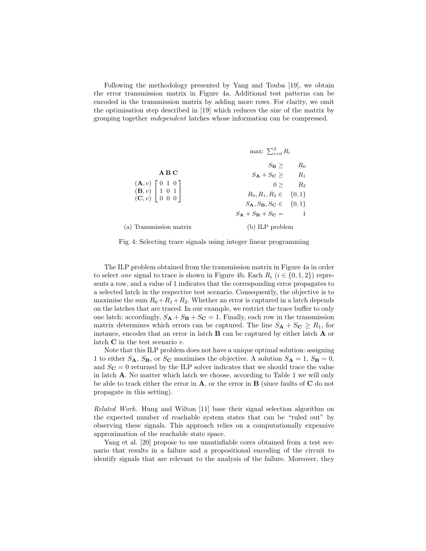Following the methodology presented by Yang and Touba [19], we obtain the error transmission matrix in Figure 4a. Additional test patterns can be encoded in the transmission matrix by adding more rows. For clarity, we omit the optimisation step described in [19] which reduces the size of the matrix by grouping together independent latches whose information can be compressed.

> A B C  $(\mathbf{A}, v)$  $(\mathbf{B}, v)$  $(C, v)$  $\Gamma$  $\overline{1}$ 0 1 0 1 0 1 0 0 0 1  $\overline{1}$ (a) Transmission matrix max:  $\sum_{i=0}^{2} R_i$  $S_{\mathbf{B}} \geq R_0$  $S_{\mathbf{A}} + S_{\mathbf{C}} \geq R_1$  $0 \geq R_2$  $R_0, R_1, R_2 \in \{0, 1\}$  $S_{\mathbf{A}}, S_{\mathbf{B}}, S_{\mathbf{C}} \in \{0, 1\}$  $S_{\mathbf{A}} + S_{\mathbf{B}} + S_{\mathbf{C}} = 1$ (b) ILP problem

Fig. 4: Selecting trace signals using integer linear programming

The ILP problem obtained from the transmission matrix in Figure 4a in order to select one signal to trace is shown in Figure 4b. Each  $R_i$  ( $i \in \{0, 1, 2\}$ ) represents a row, and a value of 1 indicates that the corresponding error propagates to a selected latch in the respective test scenario. Consequently, the objective is to maximise the sum  $R_0+R_1+R_2$ . Whether an error is captured in a latch depends on the latches that are traced. In our example, we restrict the trace buffer to only one latch; accordingly,  $S_A + S_B + S_C = 1$ . Finally, each row in the transmission matrix determines which errors can be captured. The line  $S_A + S_C \geq R_1$ , for instance, encodes that an error in latch B can be captured by either latch A or latch  $C$  in the test scenario  $v$ .

Note that this ILP problem does not have a unique optimal solution: assigning 1 to either  $S_A$ ,  $S_B$ , or  $S_C$  maximises the objective. A solution  $S_A = 1$ ,  $S_B = 0$ , and  $S_{\mathbf{C}} = 0$  returned by the ILP solver indicates that we should trace the value in latch A. No matter which latch we choose, according to Table 1 we will only be able to track either the error in  $A$ , or the error in  $B$  (since faults of  $C$  do not propagate in this setting).

Related Work. Hung and Wilton [11] base their signal selection algorithm on the expected number of reachable system states that can be "ruled out" by observing these signals. This approach relies on a computationally expensive approximation of the reachable state space.

Yang et al. [20] propose to use unsatisfiable cores obtained from a test scenario that results in a failure and a propositional encoding of the circuit to identify signals that are relevant to the analysis of the failure. Moreover, they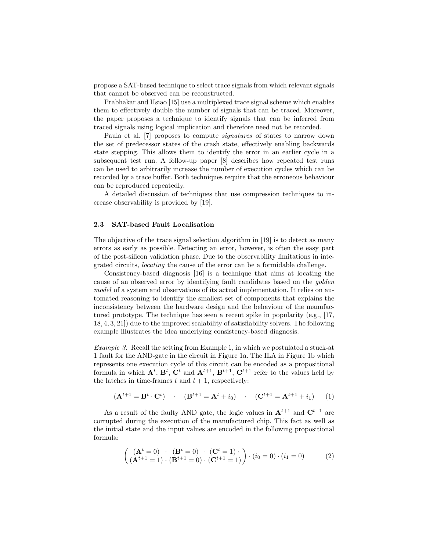propose a SAT-based technique to select trace signals from which relevant signals that cannot be observed can be reconstructed.

Prabhakar and Hsiao [15] use a multiplexed trace signal scheme which enables them to effectively double the number of signals that can be traced. Moreover, the paper proposes a technique to identify signals that can be inferred from traced signals using logical implication and therefore need not be recorded.

Paula et al. [7] proposes to compute signatures of states to narrow down the set of predecessor states of the crash state, effectively enabling backwards state stepping. This allows them to identify the error in an earlier cycle in a subsequent test run. A follow-up paper [8] describes how repeated test runs can be used to arbitrarily increase the number of execution cycles which can be recorded by a trace buffer. Both techniques require that the erroneous behaviour can be reproduced repeatedly.

A detailed discussion of techniques that use compression techniques to increase observability is provided by [19].

#### 2.3 SAT-based Fault Localisation

The objective of the trace signal selection algorithm in [19] is to detect as many errors as early as possible. Detecting an error, however, is often the easy part of the post-silicon validation phase. Due to the observability limitations in integrated circuits, locating the cause of the error can be a formidable challenge.

Consistency-based diagnosis [16] is a technique that aims at locating the cause of an observed error by identifying fault candidates based on the golden model of a system and observations of its actual implementation. It relies on automated reasoning to identify the smallest set of components that explains the inconsistency between the hardware design and the behaviour of the manufactured prototype. The technique has seen a recent spike in popularity (e.g., [17, 18, 4, 3, 21]) due to the improved scalability of satisfiability solvers. The following example illustrates the idea underlying consistency-based diagnosis.

Example 3. Recall the setting from Example 1, in which we postulated a stuck-at 1 fault for the AND-gate in the circuit in Figure 1a. The ILA in Figure 1b which represents one execution cycle of this circuit can be encoded as a propositional formula in which  $\mathbf{A}^t$ ,  $\mathbf{B}^t$ ,  $\mathbf{C}^t$  and  $\mathbf{A}^{t+1}$ ,  $\mathbf{B}^{t+1}$ ,  $\mathbf{C}^{t+1}$  refer to the values held by the latches in time-frames t and  $t + 1$ , respectively:

$$
(\mathbf{A}^{t+1} = \mathbf{B}^t \cdot \mathbf{C}^t) \qquad (\mathbf{B}^{t+1} = \mathbf{A}^t + i_0) \qquad (\mathbf{C}^{t+1} = \mathbf{A}^{t+1} + i_1) \tag{1}
$$

As a result of the faulty AND gate, the logic values in  $A^{t+1}$  and  $C^{t+1}$  are corrupted during the execution of the manufactured chip. This fact as well as the initial state and the input values are encoded in the following propositional formula:

$$
\begin{pmatrix}\n(\mathbf{A}^t = 0) & (\mathbf{B}^t = 0) & (\mathbf{C}^t = 1) \\
(\mathbf{A}^{t+1} = 1) & (\mathbf{B}^{t+1} = 0) & (\mathbf{C}^{t+1} = 1)\n\end{pmatrix} \cdot (i_0 = 0) \cdot (i_1 = 0)
$$
\n(2)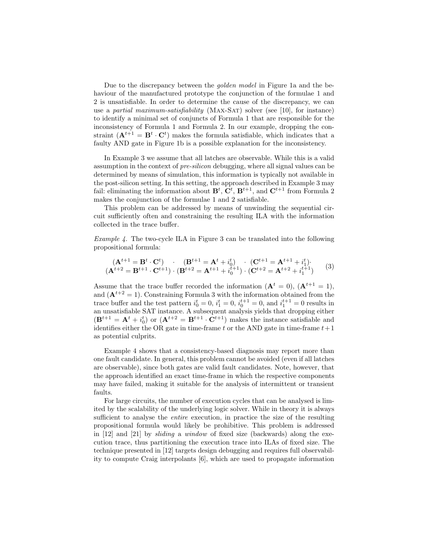Due to the discrepancy between the golden model in Figure 1a and the behaviour of the manufactured prototype the conjunction of the formulae 1 and 2 is unsatisfiable. In order to determine the cause of the discrepancy, we can use a *partial maximum-satisfiability* (MAX-SAT) solver (see [10], for instance) to identify a minimal set of conjuncts of Formula 1 that are responsible for the inconsistency of Formula 1 and Formula 2. In our example, dropping the constraint  $(\mathbf{A}^{t+1} = \mathbf{B}^t \cdot \mathbf{C}^t)$  makes the formula satisfiable, which indicates that a faulty AND gate in Figure 1b is a possible explanation for the inconsistency.

In Example 3 we assume that all latches are observable. While this is a valid assumption in the context of pre-silicon debugging, where all signal values can be determined by means of simulation, this information is typically not available in the post-silicon setting. In this setting, the approach described in Example 3 may fail: eliminating the information about  $\mathbf{B}^{t}$ ,  $\mathbf{C}^{t}$ ,  $\mathbf{B}^{t+1}$ , and  $\mathbf{C}^{t+1}$  from Formula 2 makes the conjunction of the formulae 1 and 2 satisfiable.

This problem can be addressed by means of unwinding the sequential circuit sufficiently often and constraining the resulting ILA with the information collected in the trace buffer.

*Example 4.* The two-cycle ILA in Figure 3 can be translated into the following propositional formula:

$$
(\mathbf{A}^{t+1} = \mathbf{B}^t \cdot \mathbf{C}^t) \qquad (\mathbf{B}^{t+1} = \mathbf{A}^t + i_0^t) \qquad (\mathbf{C}^{t+1} = \mathbf{A}^{t+1} + i_1^t). (\mathbf{A}^{t+2} = \mathbf{B}^{t+1} \cdot \mathbf{C}^{t+1}) \cdot (\mathbf{B}^{t+2} = \mathbf{A}^{t+1} + i_0^{t+1}) \cdot (\mathbf{C}^{t+2} = \mathbf{A}^{t+2} + i_1^{t+1})
$$
 (3)

Assume that the trace buffer recorded the information  $({\bf A}^t = 0)$ ,  $({\bf A}^{t+1} = 1)$ , and  $(\mathbf{A}^{t+2} = 1)$ . Constraining Formula 3 with the information obtained from the trace buffer and the test pattern  $i_0^t = 0$ ,  $i_1^t = 0$ ,  $i_0^{t+1} = 0$ , and  $i_1^{t+1} = 0$  results in an unsatisfiable SAT instance. A subsequent analysis yields that dropping either  $(\mathbf{B}^{t+1} = \mathbf{A}^t + i_0^t)$  or  $(\mathbf{A}^{t+2} = \mathbf{B}^{t+1} \cdot \mathbf{C}^{t+1})$  makes the instance satisfiable and identifies either the OR gate in time-frame t or the AND gate in time-frame  $t+1$ as potential culprits.

Example 4 shows that a consistency-based diagnosis may report more than one fault candidate. In general, this problem cannot be avoided (even if all latches are observable), since both gates are valid fault candidates. Note, however, that the approach identified an exact time-frame in which the respective components may have failed, making it suitable for the analysis of intermittent or transient faults.

For large circuits, the number of execution cycles that can be analysed is limited by the scalability of the underlying logic solver. While in theory it is always sufficient to analyse the *entire* execution, in practice the size of the resulting propositional formula would likely be prohibitive. This problem is addressed in [12] and [21] by sliding a window of fixed size (backwards) along the execution trace, thus partitioning the execution trace into ILAs of fixed size. The technique presented in [12] targets design debugging and requires full observability to compute Craig interpolants [6], which are used to propagate information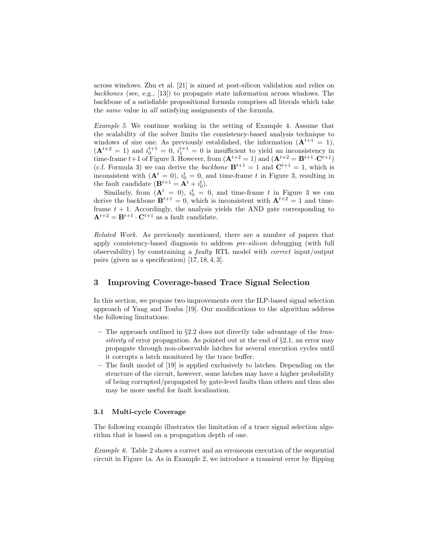across windows. Zhu et al. [21] is aimed at post-silicon validation and relies on backbones (see, e.g., [13]) to propagate state information across windows. The backbone of a satisfiable propositional formula comprises all literals which take the same value in all satisfying assignments of the formula.

Example 5. We continue working in the setting of Example 4. Assume that the scalability of the solver limits the consistency-based analysis technique to windows of size one. As previously established, the information  $(A^{t+1} = 1)$ ,  $(A^{t+2} = 1)$  and  $i_0^{t+1} = 0$ ,  $i_1^{t+1} = 0$  is insufficient to yield an inconsistency in time-frame  $t+1$  of Figure 3. However, from  $(\mathbf{A}^{t+2} = 1)$  and  $(\mathbf{A}^{t+2} = \mathbf{B}^{t+1} \cdot \mathbf{C}^{t+1})$ (c.f. Formula 3) we can derive the *backbone*  $\mathbf{B}^{t+1} = 1$  and  $\mathbf{C}^{t+1} = 1$ , which is inconsistent with  $(\mathbf{A}^t = 0)$ ,  $i_0^t = 0$ , and time-frame t in Figure 3, resulting in the fault candidate  $(\mathbf{B}^{t+1} = \mathbf{A}^t + i_0^t)$ .

Similarly, from  $(\mathbf{A}^t = 0)$ ,  $i_0^t = 0$ , and time-frame t in Figure 3 we can derive the backbone  $\mathbf{B}^{t+1} = 0$ , which is inconsistent with  $\mathbf{A}^{t+2} = 1$  and timeframe  $t + 1$ . Accordingly, the analysis yields the AND gate corresponding to  $\mathbf{A}^{t+2} = \mathbf{B}^{t+1} \cdot \mathbf{C}^{t+1}$  as a fault candidate.

Related Work. As previously mentioned, there are a number of papers that apply consistency-based diagnosis to address pre-silicon debugging (with full observability) by constraining a faulty RTL model with correct input/output pairs (given as a specification) [17, 18, 4, 3].

## 3 Improving Coverage-based Trace Signal Selection

In this section, we propose two improvements over the ILP-based signal selection approach of Yang and Touba [19]. Our modifications to the algorithm address the following limitations:

- The approach outlined in §2.2 does not directly take advantage of the transitivity of error propagation. As pointed out at the end of  $\S 2.1$ , an error may propagate through non-observable latches for several execution cycles until it corrupts a latch monitored by the trace buffer.
- The fault model of [19] is applied exclusively to latches. Depending on the structure of the circuit, however, some latches may have a higher probability of being corrupted/propagated by gate-level faults than others and thus also may be more useful for fault localisation.

#### 3.1 Multi-cycle Coverage

The following example illustrates the limitation of a trace signal selection algorithm that is based on a propagation depth of one.

Example 6. Table 2 shows a correct and an erroneous execution of the sequential circuit in Figure 1a. As in Example 2, we introduce a transient error by flipping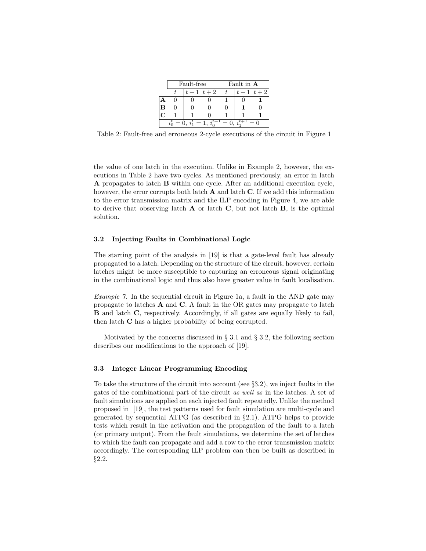|                                                    |   | Fault-free |      | Fault in A |  |   |  |  |  |
|----------------------------------------------------|---|------------|------|------------|--|---|--|--|--|
|                                                    |   |            | $+2$ |            |  | 2 |  |  |  |
| $\mathbf{A}$                                       | 0 |            |      |            |  |   |  |  |  |
| в                                                  | O |            |      |            |  |   |  |  |  |
| C                                                  |   |            |      |            |  |   |  |  |  |
| $= 1, 7$<br>$\qquad \qquad \longleftarrow$<br>= v. |   |            |      |            |  |   |  |  |  |

Table 2: Fault-free and erroneous 2-cycle executions of the circuit in Figure 1

the value of one latch in the execution. Unlike in Example 2, however, the executions in Table 2 have two cycles. As mentioned previously, an error in latch A propagates to latch B within one cycle. After an additional execution cycle, however, the error corrupts both latch  $A$  and latch  $C$ . If we add this information to the error transmission matrix and the ILP encoding in Figure 4, we are able to derive that observing latch  $A$  or latch  $C$ , but not latch  $B$ , is the optimal solution.

### 3.2 Injecting Faults in Combinational Logic

The starting point of the analysis in [19] is that a gate-level fault has already propagated to a latch. Depending on the structure of the circuit, however, certain latches might be more susceptible to capturing an erroneous signal originating in the combinational logic and thus also have greater value in fault localisation.

Example 7. In the sequential circuit in Figure 1a, a fault in the AND gate may propagate to latches  $\bf{A}$  and  $\bf{C}$ . A fault in the OR gates may propagate to latch B and latch C, respectively. Accordingly, if all gates are equally likely to fail, then latch C has a higher probability of being corrupted.

Motivated by the concerns discussed in  $\S 3.1$  and  $\S 3.2$ , the following section describes our modifications to the approach of [19].

#### 3.3 Integer Linear Programming Encoding

To take the structure of the circuit into account (see §3.2), we inject faults in the gates of the combinational part of the circuit as well as in the latches. A set of fault simulations are applied on each injected fault repeatedly. Unlike the method proposed in [19], the test patterns used for fault simulation are multi-cycle and generated by sequential ATPG (as described in §2.1). ATPG helps to provide tests which result in the activation and the propagation of the fault to a latch (or primary output). From the fault simulations, we determine the set of latches to which the fault can propagate and add a row to the error transmission matrix accordingly. The corresponding ILP problem can then be built as described in §2.2.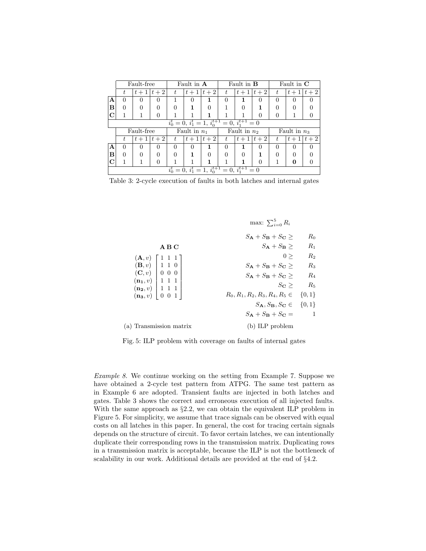|                                                                | Fault-free |              |              | Fault in A     |          |       | Fault in <b>B</b> |       |       | Fault in C     |       |       |
|----------------------------------------------------------------|------------|--------------|--------------|----------------|----------|-------|-------------------|-------|-------|----------------|-------|-------|
|                                                                |            | $t +$        | $t+2$        | t              | $t +$    | $t+2$ | t.                | $t +$ | $t+2$ | t.             | $t +$ | $t+2$ |
| A                                                              | $\theta$   | $\Omega$     | $\Omega$     |                | 0        | 1     | $\Omega$          | 1     | 0     | $\theta$       | 0     |       |
| в                                                              | 0          |              |              | 0              |          |       |                   |       |       | 0              | ∩     |       |
|                                                                |            |              |              |                |          |       |                   |       | ∩     | 0              |       |       |
| $i_0^t = 0, i_1^t = 1, i_0^{t+1}$<br>$= 0, i_1^{t+1}$<br>$=0$  |            |              |              |                |          |       |                   |       |       |                |       |       |
|                                                                | Fault-free |              |              | Fault in $n_1$ |          |       | Fault in $n_2$    |       |       | Fault in $n_3$ |       |       |
|                                                                |            | $t+1$        | $t+2$        | t.             | $t+1$    | $t+2$ | Ŧ.                | $t +$ | $t+2$ | t.             | $t +$ | $t+2$ |
| A                                                              | 0          | $\mathbf{0}$ | $\mathbf{0}$ | $\Omega$       | $\Omega$ |       | $\Omega$          |       | 0     | $\Omega$       | 0     |       |
| в                                                              | 0          |              | ∩            |                |          |       | $\Omega$          |       | 1     | $\Omega$       | ∩     |       |
|                                                                | 1          |              |              |                |          |       |                   |       |       |                |       |       |
| $i_0^t = 0, i_1^t = 1, i_0^{t+1}$<br>$= 0, i_1^{t+1}$<br>$= 0$ |            |              |              |                |          |       |                   |       |       |                |       |       |

Table 3: 2-cycle execution of faults in both latches and internal gates

A B C  $(\mathbf{A}, v)$  $(\mathbf{B}, v)$  $(C, v)$  $(\mathbf{n_1}, v)$  $(\mathbf{n_1}, v)$   $\begin{array}{|c|c|c|c|c|} \hline 1 & 1 & 1 \\ 1 & 1 & 1 \end{array}$  $\begin{bmatrix} (n_2, v) \\ (n_3, v) \end{bmatrix} \begin{bmatrix} 1 & 1 & 1 \\ 0 & 0 & 1 \end{bmatrix}$  1 1 1  $\overline{1}$  $\perp$  $\mathbf{I}$  $\overline{1}$ 1 1 0 0 0 0 1 1 1 1  $\overline{1}$  $\mathbf{I}$  $\mathbf{I}$  $\overline{1}$  $\mathbf{I}$  $\mathbf{I}$ (a) Transmission matrix max:  $\sum_{i=0}^{5} R_i$  $S_{\mathbf{A}} + S_{\mathbf{B}} + S_{\mathbf{C}} \geq R_0$  $S_{\mathbf{A}} + S_{\mathbf{B}} \geq R_1$  $0 \geq R_2$  $S_{\mathbf{A}} + S_{\mathbf{B}} + S_{\mathbf{C}} \geq R_3$  $S_{\mathbf{A}} + S_{\mathbf{B}} + S_{\mathbf{C}} \geq R_4$  $S_{\mathbf{C}} \geq R_5$  $R_0, R_1, R_2, R_3, R_4, R_5 \in \{0, 1\}$  $S_{\mathbf{A}}, S_{\mathbf{B}}, S_{\mathbf{C}} \in \{0, 1\}$  $S_{\mathbf{A}} + S_{\mathbf{B}} + S_{\mathbf{C}} = 1$ (b) ILP problem

Fig. 5: ILP problem with coverage on faults of internal gates

Example 8. We continue working on the setting from Example 7. Suppose we have obtained a 2-cycle test pattern from ATPG. The same test pattern as in Example 6 are adopted. Transient faults are injected in both latches and gates. Table 3 shows the correct and erroneous execution of all injected faults. With the same approach as  $\S2.2$ , we can obtain the equivalent ILP problem in Figure 5. For simplicity, we assume that trace signals can be observed with equal costs on all latches in this paper. In general, the cost for tracing certain signals depends on the structure of circuit. To favor certain latches, we can intentionally duplicate their corresponding rows in the transmission matrix. Duplicating rows in a transmission matrix is acceptable, because the ILP is not the bottleneck of scalability in our work. Additional details are provided at the end of §4.2.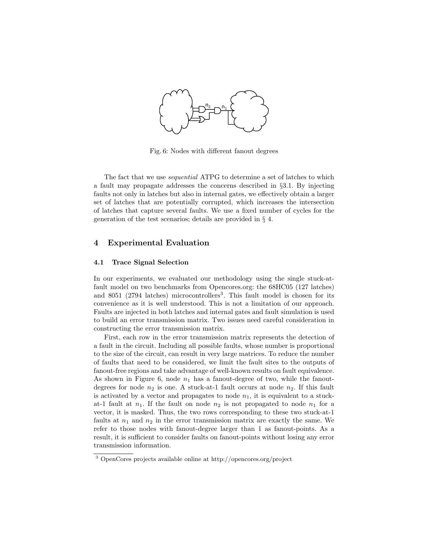

Fig. 6: Nodes with different fanout degrees

The fact that we use sequential ATPG to determine a set of latches to which a fault may propagate addresses the concerns described in §3.1. By injecting faults not only in latches but also in internal gates, we effectively obtain a larger set of latches that are potentially corrupted, which increases the intersection of latches that capture several faults. We use a fixed number of cycles for the generation of the test scenarios; details are provided in § 4.

# 4 Experimental Evaluation

#### 4.1 Trace Signal Selection

In our experiments, we evaluated our methodology using the single stuck-atfault model on two benchmarks from Opencores.org: the 68HC05 (127 latches) and 8051 (2794 latches) microcontrollers<sup>3</sup>. This fault model is chosen for its convenience as it is well understood. This is not a limitation of our approach. Faults are injected in both latches and internal gates and fault simulation is used to build an error transmission matrix. Two issues need careful consideration in constructing the error transmission matrix.

First, each row in the error transmission matrix represents the detection of a fault in the circuit. Including all possible faults, whose number is proportional to the size of the circuit, can result in very large matrices. To reduce the number of faults that need to be considered, we limit the fault sites to the outputs of fanout-free regions and take advantage of well-known results on fault equivalence. As shown in Figure 6, node  $n_1$  has a fanout-degree of two, while the fanoutdegrees for node  $n_2$  is one. A stuck-at-1 fault occurs at node  $n_2$ . If this fault is activated by a vector and propagates to node  $n_1$ , it is equivalent to a stuckat-1 fault at  $n_1$ . If the fault on node  $n_2$  is not propagated to node  $n_1$  for a vector, it is masked. Thus, the two rows corresponding to these two stuck-at-1 faults at  $n_1$  and  $n_2$  in the error transmission matrix are exactly the same. We refer to those nodes with fanout-degree larger than 1 as fanout-points. As a result, it is sufficient to consider faults on fanout-points without losing any error transmission information.

<sup>3</sup> OpenCores projects available online at http://opencores.org/project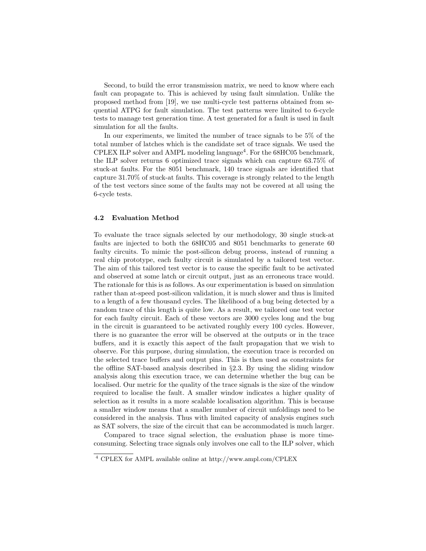Second, to build the error transmission matrix, we need to know where each fault can propagate to. This is achieved by using fault simulation. Unlike the proposed method from [19], we use multi-cycle test patterns obtained from sequential ATPG for fault simulation. The test patterns were limited to 6-cycle tests to manage test generation time. A test generated for a fault is used in fault simulation for all the faults.

In our experiments, we limited the number of trace signals to be 5% of the total number of latches which is the candidate set of trace signals. We used the CPLEX ILP solver and AMPL modeling language<sup>4</sup>. For the  $68HCO5$  benchmark, the ILP solver returns 6 optimized trace signals which can capture 63.75% of stuck-at faults. For the 8051 benchmark, 140 trace signals are identified that capture 31.70% of stuck-at faults. This coverage is strongly related to the length of the test vectors since some of the faults may not be covered at all using the 6-cycle tests.

#### 4.2 Evaluation Method

To evaluate the trace signals selected by our methodology, 30 single stuck-at faults are injected to both the 68HC05 and 8051 benchmarks to generate 60 faulty circuits. To mimic the post-silicon debug process, instead of running a real chip prototype, each faulty circuit is simulated by a tailored test vector. The aim of this tailored test vector is to cause the specific fault to be activated and observed at some latch or circuit output, just as an erroneous trace would. The rationale for this is as follows. As our experimentation is based on simulation rather than at-speed post-silicon validation, it is much slower and thus is limited to a length of a few thousand cycles. The likelihood of a bug being detected by a random trace of this length is quite low. As a result, we tailored one test vector for each faulty circuit. Each of these vectors are 3000 cycles long and the bug in the circuit is guaranteed to be activated roughly every 100 cycles. However, there is no guarantee the error will be observed at the outputs or in the trace buffers, and it is exactly this aspect of the fault propagation that we wish to observe. For this purpose, during simulation, the execution trace is recorded on the selected trace buffers and output pins. This is then used as constraints for the offline SAT-based analysis described in  $\S 2.3$ . By using the sliding window analysis along this execution trace, we can determine whether the bug can be localised. Our metric for the quality of the trace signals is the size of the window required to localise the fault. A smaller window indicates a higher quality of selection as it results in a more scalable localisation algorithm. This is because a smaller window means that a smaller number of circuit unfoldings need to be considered in the analysis. Thus with limited capacity of analysis engines such as SAT solvers, the size of the circuit that can be accommodated is much larger.

Compared to trace signal selection, the evaluation phase is more timeconsuming. Selecting trace signals only involves one call to the ILP solver, which

<sup>4</sup> CPLEX for AMPL available online at http://www.ampl.com/CPLEX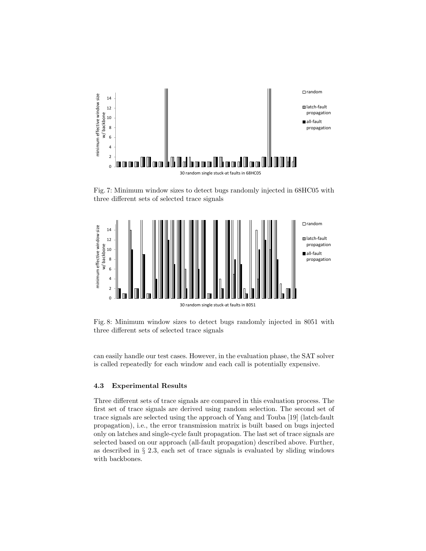

Fig. 7: Minimum window sizes to detect bugs randomly injected in 68HC05 with three different sets of selected trace signals



Fig. 8: Minimum window sizes to detect bugs randomly injected in 8051 with three different sets of selected trace signals

can easily handle our test cases. However, in the evaluation phase, the SAT solver is called repeatedly for each window and each call is potentially expensive.

## 4.3 Experimental Results

Three different sets of trace signals are compared in this evaluation process. The first set of trace signals are derived using random selection. The second set of trace signals are selected using the approach of Yang and Touba [19] (latch-fault propagation), i.e., the error transmission matrix is built based on bugs injected only on latches and single-cycle fault propagation. The last set of trace signals are selected based on our approach (all-fault propagation) described above. Further, as described in § 2.3, each set of trace signals is evaluated by sliding windows with backbones.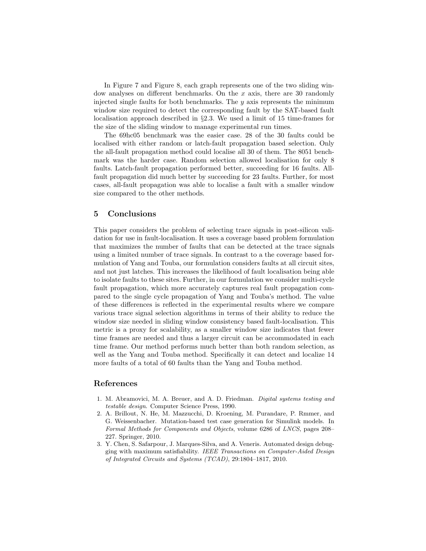In Figure 7 and Figure 8, each graph represents one of the two sliding window analyses on different benchmarks. On the  $x$  axis, there are 30 randomly injected single faults for both benchmarks. The  $y$  axis represents the minimum window size required to detect the corresponding fault by the SAT-based fault localisation approach described in §2.3. We used a limit of 15 time-frames for the size of the sliding window to manage experimental run times.

The 69hc05 benchmark was the easier case. 28 of the 30 faults could be localised with either random or latch-fault propagation based selection. Only the all-fault propagation method could localise all 30 of them. The 8051 benchmark was the harder case. Random selection allowed localisation for only 8 faults. Latch-fault propagation performed better, succeeding for 16 faults. Allfault propagation did much better by succeeding for 23 faults. Further, for most cases, all-fault propagation was able to localise a fault with a smaller window size compared to the other methods.

## 5 Conclusions

This paper considers the problem of selecting trace signals in post-silicon validation for use in fault-localisation. It uses a coverage based problem formulation that maximizes the number of faults that can be detected at the trace signals using a limited number of trace signals. In contrast to a the coverage based formulation of Yang and Touba, our formulation considers faults at all circuit sites, and not just latches. This increases the likelihood of fault localisation being able to isolate faults to these sites. Further, in our formulation we consider multi-cycle fault propagation, which more accurately captures real fault propagation compared to the single cycle propagation of Yang and Touba's method. The value of these differences is reflected in the experimental results where we compare various trace signal selection algorithms in terms of their ability to reduce the window size needed in sliding window consistency based fault-localisation. This metric is a proxy for scalability, as a smaller window size indicates that fewer time frames are needed and thus a larger circuit can be accommodated in each time frame. Our method performs much better than both random selection, as well as the Yang and Touba method. Specifically it can detect and localize 14 more faults of a total of 60 faults than the Yang and Touba method.

## References

- 1. M. Abramovici, M. A. Breuer, and A. D. Friedman. Digital systems testing and testable design. Computer Science Press, 1990.
- 2. A. Brillout, N. He, M. Mazzucchi, D. Kroening, M. Purandare, P. Rmmer, and G. Weissenbacher. Mutation-based test case generation for Simulink models. In Formal Methods for Components and Objects, volume 6286 of LNCS, pages 208– 227. Springer, 2010.
- 3. Y. Chen, S. Safarpour, J. Marques-Silva, and A. Veneris. Automated design debugging with maximum satisfiability. IEEE Transactions on Computer-Aided Design of Integrated Circuits and Systems (TCAD), 29:1804–1817, 2010.